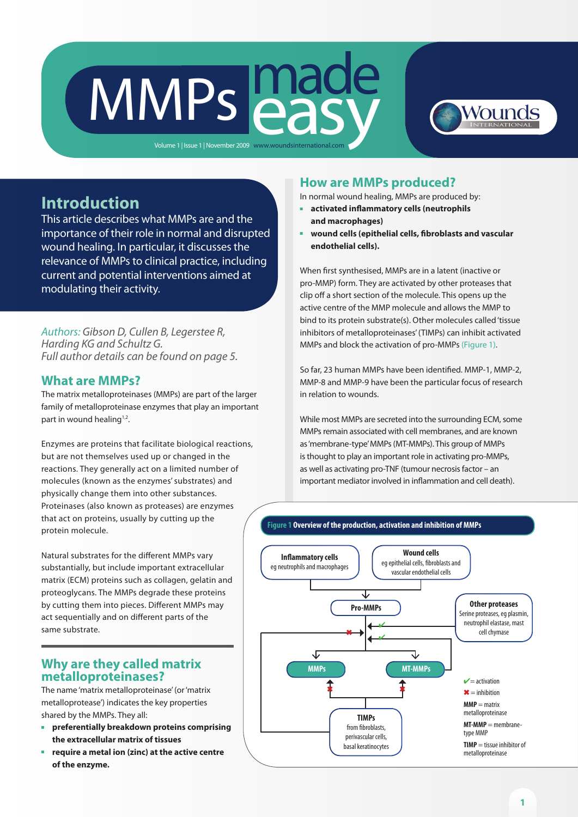# MMPs easy Volume 1 | Issue 1 | November 2009 www.woundsinternational.com

Wounds

# **Introduction**

This article describes what MMPs are and the importance of their role in normal and disrupted wound healing. In particular, it discusses the relevance of MMPs to clinical practice, including current and potential interventions aimed at modulating their activity.

*Authors: Gibson D, Cullen B, Legerstee R, Harding KG and Schultz G. Full author details can be found on page 5.*

# **What are MMPs?**

The matrix metalloproteinases (MMPs) are part of the larger family of metalloproteinase enzymes that play an important part in wound healing<sup>1,2</sup>.

Enzymes are proteins that facilitate biological reactions, but are not themselves used up or changed in the reactions. They generally act on a limited number of molecules (known as the enzymes' substrates) and physically change them into other substances. Proteinases (also known as proteases) are enzymes that act on proteins, usually by cutting up the protein molecule.

Natural substrates for the different MMPs vary substantially, but include important extracellular matrix (ECM) proteins such as collagen, gelatin and proteoglycans. The MMPs degrade these proteins by cutting them into pieces. Different MMPs may act sequentially and on different parts of the same substrate.

## **Why are they called matrix metalloproteinases?**

The name 'matrix metalloproteinase' (or 'matrix metalloprotease') indicates the key properties shared by the MMPs. They all:

- <sup>n</sup> **preferentially breakdown proteins comprising the extracellular matrix of tissues**
- <sup>n</sup> **require a metal ion (zinc) at the active centre of the enzyme.**

# **How are MMPs produced?**

In normal wound healing, MMPs are produced by:

- **n** activated inflammatory cells (neutrophils **and macrophages)**
- <sup>n</sup> **wound cells (epithelial cells, fibroblasts and vascular endothelial cells).**

When first synthesised, MMPs are in a latent (inactive or pro-MMP) form. They are activated by other proteases that clip off a short section of the molecule. This opens up the active centre of the MMP molecule and allows the MMP to bind to its protein substrate(s). Other molecules called 'tissue inhibitors of metalloproteinases' (TIMPs) can inhibit activated MMPs and block the activation of pro-MMPs (Figure 1).

So far, 23 human MMPs have been identified. MMP-1, MMP-2, MMP-8 and MMP-9 have been the particular focus of research in relation to wounds.

While most MMPs are secreted into the surrounding ECM, some MMPs remain associated with cell membranes, and are known as 'membrane-type' MMPs (MT-MMPs). This group of MMPs is thought to play an important role in activating pro-MMPs, as well as activating pro-TNF (tumour necrosis factor – an important mediator involved in inflammation and cell death).

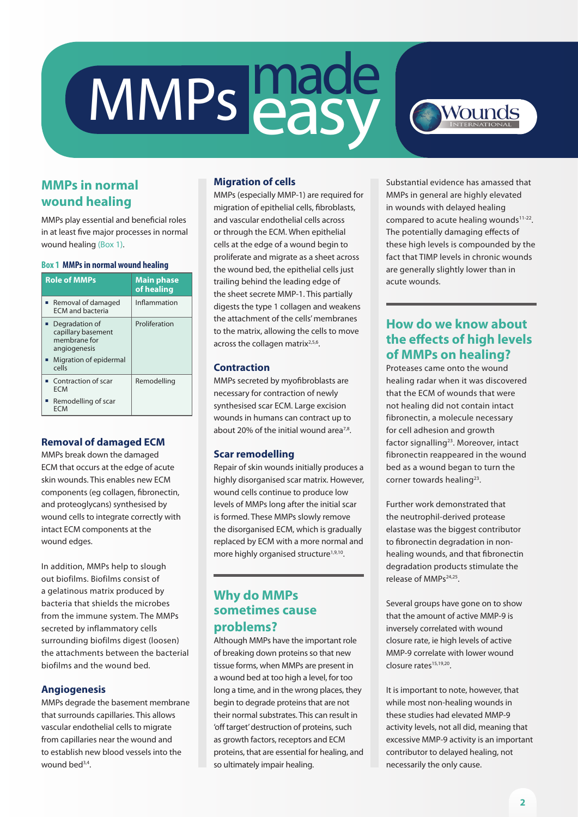# MMPs made



# **MMPs in normal wound healing**

MMPs play essential and beneficial roles in at least five major processes in normal wound healing (Box 1).

#### **Box 1 MMPs in normal wound healing**

| <b>Role of MMPs</b>                                                                                         | <b>Main phase</b><br>of healing |
|-------------------------------------------------------------------------------------------------------------|---------------------------------|
| ■ Removal of damaged<br><b>FCM</b> and bacteria                                                             | Inflammation                    |
| ■ Degradation of<br>capillary basement<br>membrane for<br>angiogenesis<br>■ Migration of epidermal<br>cells | Proliferation                   |
| • Contraction of scar<br>FCM<br>Remodelling of scar<br>FCM                                                  | Remodelling                     |

#### **Removal of damaged ECM**

MMPs break down the damaged ECM that occurs at the edge of acute skin wounds. This enables new ECM components (eg collagen, fibronectin, and proteoglycans) synthesised by wound cells to integrate correctly with intact ECM components at the wound edges.

In addition, MMPs help to slough out biofilms. Biofilms consist of a gelatinous matrix produced by bacteria that shields the microbes from the immune system. The MMPs secreted by inflammatory cells surrounding biofilms digest (loosen) the attachments between the bacterial biofilms and the wound bed.

#### **Angiogenesis**

MMPs degrade the basement membrane that surrounds capillaries. This allows vascular endothelial cells to migrate from capillaries near the wound and to establish new blood vessels into the wound bed<sup>3,4</sup>.

#### **Migration of cells**

MMPs (especially MMP-1) are required for migration of epithelial cells, fibroblasts, and vascular endothelial cells across or through the ECM. When epithelial cells at the edge of a wound begin to proliferate and migrate as a sheet across the wound bed, the epithelial cells just trailing behind the leading edge of the sheet secrete MMP-1. This partially digests the type 1 collagen and weakens the attachment of the cells' membranes to the matrix, allowing the cells to move across the collagen matrix $2,5,6$ .

#### **Contraction**

MMPs secreted by myofibroblasts are necessary for contraction of newly synthesised scar ECM. Large excision wounds in humans can contract up to about 20% of the initial wound area $7,8$ .

#### **Scar remodelling**

Repair of skin wounds initially produces a highly disorganised scar matrix. However, wound cells continue to produce low levels of MMPs long after the initial scar is formed. These MMPs slowly remove the disorganised ECM, which is gradually replaced by ECM with a more normal and more highly organised structure<sup>1,9,10</sup>.

# **Why do MMPs sometimes cause problems?**

Although MMPs have the important role of breaking down proteins so that new tissue forms, when MMPs are present in a wound bed at too high a level, for too long a time, and in the wrong places, they begin to degrade proteins that are not their normal substrates. This can result in 'off target' destruction of proteins, such as growth factors, receptors and ECM proteins, that are essential for healing, and so ultimately impair healing.

Substantial evidence has amassed that MMPs in general are highly elevated in wounds with delayed healing compared to acute healing wounds<sup>11-22</sup>. The potentially damaging effects of these high levels is compounded by the fact that TIMP levels in chronic wounds are generally slightly lower than in acute wounds.

# **How do we know about the effects of high levels of MMPs on healing?**

Proteases came onto the wound healing radar when it was discovered that the ECM of wounds that were not healing did not contain intact fibronectin, a molecule necessary for cell adhesion and growth factor signalling<sup>23</sup>. Moreover, intact fibronectin reappeared in the wound bed as a wound began to turn the corner towards healing<sup>23</sup>.

Further work demonstrated that the neutrophil-derived protease elastase was the biggest contributor to fibronectin degradation in nonhealing wounds, and that fibronectin degradation products stimulate the release of MMPs<sup>24,25</sup>.

Several groups have gone on to show that the amount of active MMP-9 is inversely correlated with wound closure rate, ie high levels of active MMP-9 correlate with lower wound closure rates<sup>15,19,20</sup>.

It is important to note, however, that while most non-healing wounds in these studies had elevated MMP-9 activity levels, not all did, meaning that excessive MMP-9 activity is an important contributor to delayed healing, not necessarily the only cause.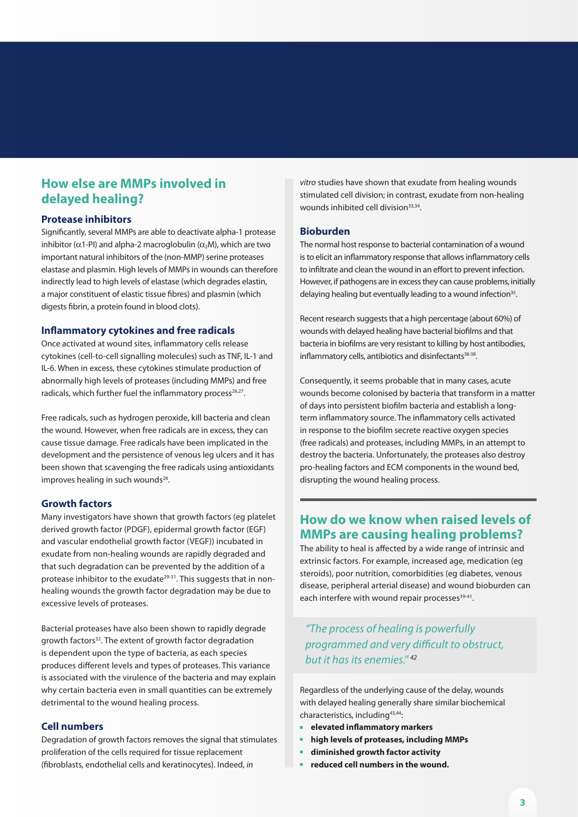# **How else are MMPs involved in delayed healing?**

#### **Protease inhibitors**

Significantly, several MMPs are able to deactivate alpha-1 protease inhibitor ( $\alpha$ 1-PI) and alpha-2 macroglobulin ( $\alpha$ <sub>2</sub>M), which are two important natural inhibitors of the (non-MMP) serine proteases elastase and plasmin. High levels of MMPs in wounds can therefore indirectly lead to high levels of elastase (which degrades elastin, a major constituent of elastic tissue fibres) and plasmin (which digests fibrin, a protein found in blood clots).

#### **Inflammatory cytokines and free radicals**

Once activated at wound sites, inflammatory cells release cytokines (cell-to-cell signalling molecules) such as TNF, IL-1 and IL-6. When in excess, these cytokines stimulate production of abnormally high levels of proteases (including MMPs) and free radicals, which further fuel the inflammatory process $26,27$ .

Free radicals, such as hydrogen peroxide, kill bacteria and clean the wound. However, when free radicals are in excess, they can cause tissue damage. Free radicals have been implicated in the development and the persistence of venous leg ulcers and it has been shown that scavenging the free radicals using antioxidants improves healing in such wounds<sup>28</sup>.

#### **Growth factors**

Many investigators have shown that growth factors (eg platelet derived growth factor (PDGF), epidermal growth factor (EGF) and vascular endothelial growth factor (VEGF)) incubated in exudate from non-healing wounds are rapidly degraded and that such degradation can be prevented by the addition of a protease inhibitor to the exudate<sup>29-31</sup>. This suggests that in nonhealing wounds the growth factor degradation may be due to excessive levels of proteases.

Bacterial proteases have also been shown to rapidly degrade growth factors<sup>32</sup>. The extent of growth factor degradation is dependent upon the type of bacteria, as each species produces different levels and types of proteases. This variance is associated with the virulence of the bacteria and may explain why certain bacteria even in small quantities can be extremely detrimental to the wound healing process.

#### **Cell numbers**

Degradation of growth factors removes the signal that stimulates proliferation of the cells required for tissue replacement (fibroblasts, endothelial cells and keratinocytes). Indeed, *in* 

*vitro* studies have shown that exudate from healing wounds stimulated cell division; in contrast, exudate from non-healing wounds inhibited cell division<sup>33,34</sup>.

#### **Bioburden**

The normal host response to bacterial contamination of a wound is to elicit an inflammatory response that allows inflammatory cells to infiltrate and clean the wound in an effort to prevent infection. However, if pathogens are in excess they can cause problems, initially delaying healing but eventually leading to a wound infection<sup>35</sup>.

Recent research suggests that a high percentage (about 60%) of wounds with delayed healing have bacterial biofilms and that bacteria in biofilms are very resistant to killing by host antibodies, inflammatory cells, antibiotics and disinfectants<sup>36-38</sup>.

Consequently, it seems probable that in many cases, acute wounds become colonised by bacteria that transform in a matter of days into persistent biofilm bacteria and establish a longterm inflammatory source. The inflammatory cells activated in response to the biofilm secrete reactive oxygen species (free radicals) and proteases, including MMPs, in an attempt to destroy the bacteria. Unfortunately, the proteases also destroy pro-healing factors and ECM components in the wound bed, disrupting the wound healing process.

# **How do we know when raised levels of MMPs are causing healing problems?**

The ability to heal is affected by a wide range of intrinsic and extrinsic factors. For example, increased age, medication (eg steroids), poor nutrition, comorbidities (eg diabetes, venous disease, peripheral arterial disease) and wound bioburden can each interfere with wound repair processes<sup>39-41</sup>.

*"The process of healing is powerfully programmed and very difficult to obstruct, but it has its enemies." 42*

Regardless of the underlying cause of the delay, wounds with delayed healing generally share similar biochemical characteristics, including43,44:

- <sup>n</sup> **elevated inflammatory markers**
- <sup>n</sup> **high levels of proteases, including MMPs**
- <sup>n</sup> **diminished growth factor activity**
- <sup>n</sup> **reduced cell numbers in the wound.**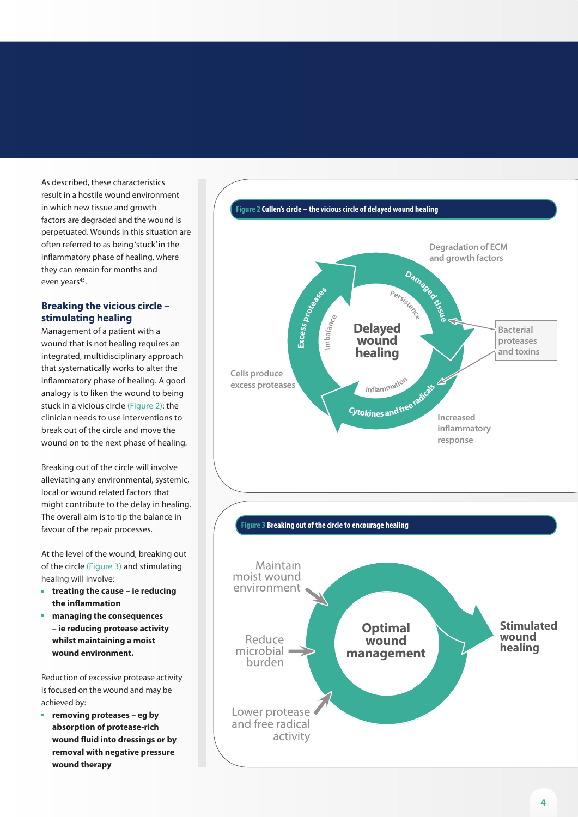As described, these characteristics result in a hostile wound environment in which new tissue and growth factors are degraded and the wound is perpetuated. Wounds in this situation are often referred to as being 'stuck' in the inflammatory phase of healing, where they can remain for months and even years<sup>45</sup>.

#### **Breaking the vicious circle – stimulating healing**

Management of a patient with a wound that is not healing requires an integrated, multidisciplinary approach that systematically works to alter the inflammatory phase of healing. A good analogy is to liken the wound to being stuck in a vicious circle (Figure 2): the clinician needs to use interventions to break out of the circle and move the wound on to the next phase of healing.

Breaking out of the circle will involve alleviating any environmental, systemic, local or wound related factors that might contribute to the delay in healing. The overall aim is to tip the balance in favour of the repair processes.

At the level of the wound, breaking out of the circle (Figure 3) and stimulating healing will involve:

- <sup>n</sup> **treating the cause ie reducing the inflammation**
- **n** managing the consequences **– ie reducing protease activity whilst maintaining a moist wound environment.**

Reduction of excessive protease activity is focused on the wound and may be achieved by:

**n** removing proteases – eg by **absorption of protease-rich wound fluid into dressings or by removal with negative pressure wound therapy**

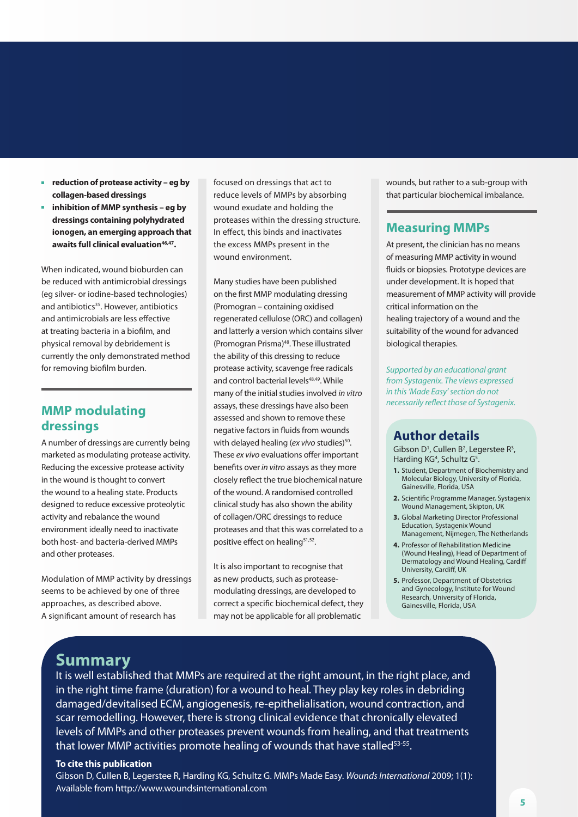- <sup>n</sup> **reduction of protease activity eg by collagen-based dressings**
- <sup>n</sup> **inhibition of MMP synthesis eg by dressings containing polyhydrated ionogen, an emerging approach that**  awaits full clinical evaluation<sup>46,47</sup>.

When indicated, wound bioburden can be reduced with antimicrobial dressings (eg silver- or iodine-based technologies) and antibiotics<sup>35</sup>. However, antibiotics and antimicrobials are less effective at treating bacteria in a biofilm, and physical removal by debridement is currently the only demonstrated method for removing biofilm burden.

# **MMP modulating dressings**

A number of dressings are currently being marketed as modulating protease activity. Reducing the excessive protease activity in the wound is thought to convert the wound to a healing state. Products designed to reduce excessive proteolytic activity and rebalance the wound environment ideally need to inactivate both host- and bacteria-derived MMPs and other proteases.

Modulation of MMP activity by dressings seems to be achieved by one of three approaches, as described above. A significant amount of research has

focused on dressings that act to reduce levels of MMPs by absorbing wound exudate and holding the proteases within the dressing structure. In effect, this binds and inactivates the excess MMPs present in the wound environment.

Many studies have been published on the first MMP modulating dressing (Promogran – containing oxidised regenerated cellulose (ORC) and collagen) and latterly a version which contains silver (Promogran Prisma)48. These illustrated the ability of this dressing to reduce protease activity, scavenge free radicals and control bacterial levels<sup>48,49</sup>. While many of the initial studies involved *in vitro* assays, these dressings have also been assessed and shown to remove these negative factors in fluids from wounds with delayed healing (ex vivo studies)<sup>50</sup>. These *ex vivo* evaluations offer important benefits over *in vitro* assays as they more closely reflect the true biochemical nature of the wound. A randomised controlled clinical study has also shown the ability of collagen/ORC dressings to reduce proteases and that this was correlated to a positive effect on healing<sup>51,52</sup>.

It is also important to recognise that as new products, such as proteasemodulating dressings, are developed to correct a specific biochemical defect, they may not be applicable for all problematic

wounds, but rather to a sub-group with that particular biochemical imbalance.

# **Measuring MMPs**

At present, the clinician has no means of measuring MMP activity in wound fluids or biopsies. Prototype devices are under development. It is hoped that measurement of MMP activity will provide critical information on the healing trajectory of a wound and the suitability of the wound for advanced biological therapies.

*Supported by an educational grant from Systagenix. The views expressed in this 'Made Easy' section do not necessarily reflect those of Systagenix.*

# **Author details**

Gibson  $D^1$ , Cullen  $B^2$ , Legerstee  $R^3$ , Harding KG<sup>4</sup>, Schultz G<sup>5</sup>.

- **1.** Student, Department of Biochemistry and Molecular Biology, University of Florida, Gainesville, Florida, USA
- **2.** Scientific Programme Manager, Systagenix Wound Management, Skipton, UK
- **3.** Global Marketing Director Professional Education, Systagenix Wound Management, Nijmegen, The Netherlands
- **4.** Professor of Rehabilitation Medicine (Wound Healing), Head of Department of Dermatology and Wound Healing, Cardiff University, Cardiff, UK
- **5.** Professor, Department of Obstetrics and Gynecology, Institute for Wound Research, University of Florida, Gainesville, Florida, USA

# **Summary**

It is well established that MMPs are required at the right amount, in the right place, and in the right time frame (duration) for a wound to heal. They play key roles in debriding damaged/devitalised ECM, angiogenesis, re-epithelialisation, wound contraction, and scar remodelling. However, there is strong clinical evidence that chronically elevated levels of MMPs and other proteases prevent wounds from healing, and that treatments that lower MMP activities promote healing of wounds that have stalled<sup>53-55</sup>.

#### **To cite this publication**

Gibson D, Cullen B, Legerstee R, Harding KG, Schultz G. MMPs Made Easy. *Wounds International* 2009; 1(1): Available from http://www.woundsinternational.com